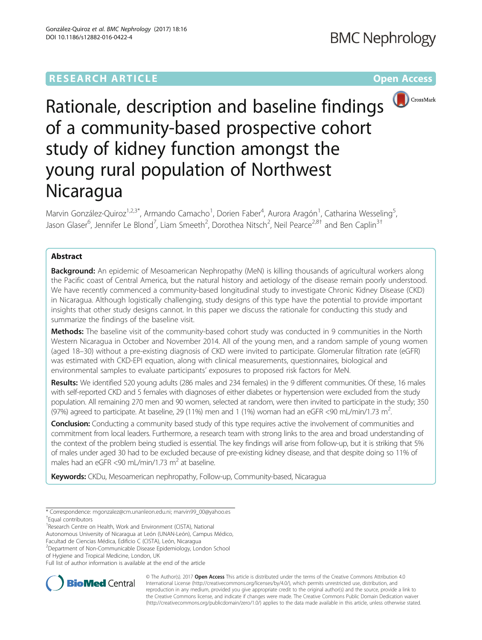

Rationale, description and baseline findings of a community-based prospective cohort study of kidney function amongst the young rural population of Northwest Nicaragua

Marvin González-Quiroz<sup>1,2,3\*</sup>, Armando Camacho<sup>1</sup>, Dorien Faber<sup>4</sup>, Aurora Aragón<sup>1</sup>, Catharina Wesseling<sup>5</sup> , Jason Glaser<sup>6</sup>, Jennifer Le Blond<sup>7</sup>, Liam Smeeth<sup>2</sup>, Dorothea Nitsch<sup>2</sup>, Neil Pearce<sup>2,8†</sup> and Ben Caplin<sup>3†</sup>

# Abstract

**Background:** An epidemic of Mesoamerican Nephropathy (MeN) is killing thousands of agricultural workers along the Pacific coast of Central America, but the natural history and aetiology of the disease remain poorly understood. We have recently commenced a community-based longitudinal study to investigate Chronic Kidney Disease (CKD) in Nicaragua. Although logistically challenging, study designs of this type have the potential to provide important insights that other study designs cannot. In this paper we discuss the rationale for conducting this study and summarize the findings of the baseline visit.

Methods: The baseline visit of the community-based cohort study was conducted in 9 communities in the North Western Nicaragua in October and November 2014. All of the young men, and a random sample of young women (aged 18–30) without a pre-existing diagnosis of CKD were invited to participate. Glomerular filtration rate (eGFR) was estimated with CKD-EPI equation, along with clinical measurements, questionnaires, biological and environmental samples to evaluate participants' exposures to proposed risk factors for MeN.

Results: We identified 520 young adults (286 males and 234 females) in the 9 different communities. Of these, 16 males with self-reported CKD and 5 females with diagnoses of either diabetes or hypertension were excluded from the study population. All remaining 270 men and 90 women, selected at random, were then invited to participate in the study; 350 (97%) agreed to participate. At baseline, 29 (11%) men and 1 (1%) woman had an eGFR <90 mL/min/1.73 m<sup>2</sup>. .

**Conclusion:** Conducting a community based study of this type requires active the involvement of communities and commitment from local leaders. Furthermore, a research team with strong links to the area and broad understanding of the context of the problem being studied is essential. The key findings will arise from follow-up, but it is striking that 5% of males under aged 30 had to be excluded because of pre-existing kidney disease, and that despite doing so 11% of males had an eGFR <90 mL/min/1.73  $m^2$  at baseline.

Keywords: CKDu, Mesoamerican nephropathy, Follow-up, Community-based, Nicaragua

<sup>1</sup> Research Centre on Health, Work and Environment (CISTA), National Autonomous University of Nicaragua at León (UNAN-León), Campus Médico,

Facultad de Ciencias Médica, Edificio C (CISTA), León, Nicaragua

2 Department of Non-Communicable Disease Epidemiology, London School

of Hygiene and Tropical Medicine, London, UK

Full list of author information is available at the end of the article



© The Author(s). 2017 **Open Access** This article is distributed under the terms of the Creative Commons Attribution 4.0 International License [\(http://creativecommons.org/licenses/by/4.0/](http://creativecommons.org/licenses/by/4.0/)), which permits unrestricted use, distribution, and reproduction in any medium, provided you give appropriate credit to the original author(s) and the source, provide a link to the Creative Commons license, and indicate if changes were made. The Creative Commons Public Domain Dedication waiver [\(http://creativecommons.org/publicdomain/zero/1.0/](http://creativecommons.org/publicdomain/zero/1.0/)) applies to the data made available in this article, unless otherwise stated.

<sup>\*</sup> Correspondence: [mgonzalez@cm.unanleon.edu.ni](mailto:mgonzalez@cm.unanleon.edu.ni); [marvin99\\_00@yahoo.es](mailto:marvin99_00@yahoo.es) † Equal contributors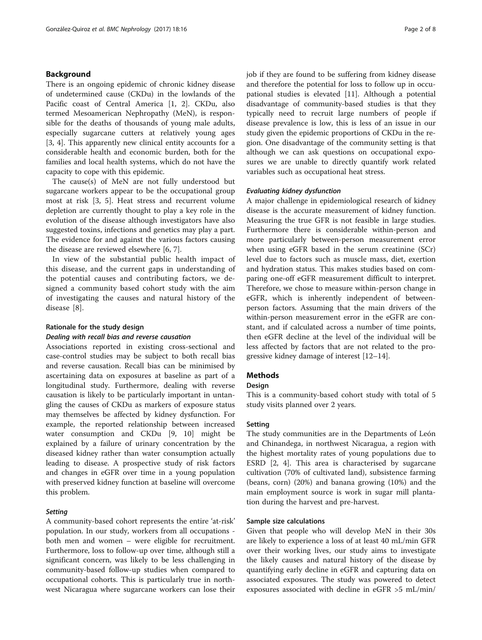## Background

There is an ongoing epidemic of chronic kidney disease of undetermined cause (CKDu) in the lowlands of the Pacific coast of Central America [\[1](#page-7-0), [2](#page-7-0)]. CKDu, also termed Mesoamerican Nephropathy (MeN), is responsible for the deaths of thousands of young male adults, especially sugarcane cutters at relatively young ages [[3, 4](#page-7-0)]. This apparently new clinical entity accounts for a considerable health and economic burden, both for the families and local health systems, which do not have the capacity to cope with this epidemic.

The cause(s) of MeN are not fully understood but sugarcane workers appear to be the occupational group most at risk [[3, 5\]](#page-7-0). Heat stress and recurrent volume depletion are currently thought to play a key role in the evolution of the disease although investigators have also suggested toxins, infections and genetics may play a part. The evidence for and against the various factors causing the disease are reviewed elsewhere [\[6](#page-7-0), [7](#page-7-0)].

In view of the substantial public health impact of this disease, and the current gaps in understanding of the potential causes and contributing factors, we designed a community based cohort study with the aim of investigating the causes and natural history of the disease [\[8](#page-7-0)].

#### Rationale for the study design

#### Dealing with recall bias and reverse causation

Associations reported in existing cross-sectional and case-control studies may be subject to both recall bias and reverse causation. Recall bias can be minimised by ascertaining data on exposures at baseline as part of a longitudinal study. Furthermore, dealing with reverse causation is likely to be particularly important in untangling the causes of CKDu as markers of exposure status may themselves be affected by kidney dysfunction. For example, the reported relationship between increased water consumption and CKDu [\[9](#page-7-0), [10\]](#page-7-0) might be explained by a failure of urinary concentration by the diseased kidney rather than water consumption actually leading to disease. A prospective study of risk factors and changes in eGFR over time in a young population with preserved kidney function at baseline will overcome this problem.

### **Setting**

A community-based cohort represents the entire 'at-risk' population. In our study, workers from all occupations both men and women – were eligible for recruitment. Furthermore, loss to follow-up over time, although still a significant concern, was likely to be less challenging in community-based follow-up studies when compared to occupational cohorts. This is particularly true in northwest Nicaragua where sugarcane workers can lose their job if they are found to be suffering from kidney disease and therefore the potential for loss to follow up in occupational studies is elevated [\[11\]](#page-7-0). Although a potential disadvantage of community-based studies is that they typically need to recruit large numbers of people if disease prevalence is low, this is less of an issue in our study given the epidemic proportions of CKDu in the region. One disadvantage of the community setting is that although we can ask questions on occupational exposures we are unable to directly quantify work related variables such as occupational heat stress.

### Evaluating kidney dysfunction

A major challenge in epidemiological research of kidney disease is the accurate measurement of kidney function. Measuring the true GFR is not feasible in large studies. Furthermore there is considerable within-person and more particularly between-person measurement error when using eGFR based in the serum creatinine (SCr) level due to factors such as muscle mass, diet, exertion and hydration status. This makes studies based on comparing one-off eGFR measurement difficult to interpret. Therefore, we chose to measure within-person change in eGFR, which is inherently independent of betweenperson factors. Assuming that the main drivers of the within-person measurement error in the eGFR are constant, and if calculated across a number of time points, then eGFR decline at the level of the individual will be less affected by factors that are not related to the progressive kidney damage of interest [\[12](#page-7-0)–[14\]](#page-7-0).

### **Methods**

#### Design

This is a community-based cohort study with total of 5 study visits planned over 2 years.

### Setting

The study communities are in the Departments of León and Chinandega, in northwest Nicaragua, a region with the highest mortality rates of young populations due to ESRD [\[2](#page-7-0), [4\]](#page-7-0). This area is characterised by sugarcane cultivation (70% of cultivated land), subsistence farming (beans, corn) (20%) and banana growing (10%) and the main employment source is work in sugar mill plantation during the harvest and pre-harvest.

### Sample size calculations

Given that people who will develop MeN in their 30s are likely to experience a loss of at least 40 mL/min GFR over their working lives, our study aims to investigate the likely causes and natural history of the disease by quantifying early decline in eGFR and capturing data on associated exposures. The study was powered to detect exposures associated with decline in eGFR >5 mL/min/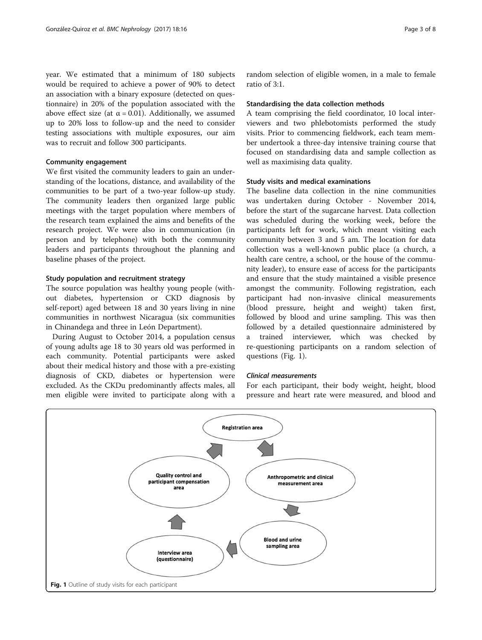year. We estimated that a minimum of 180 subjects would be required to achieve a power of 90% to detect an association with a binary exposure (detected on questionnaire) in 20% of the population associated with the above effect size (at  $\alpha$  = 0.01). Additionally, we assumed up to 20% loss to follow-up and the need to consider testing associations with multiple exposures, our aim was to recruit and follow 300 participants.

## Community engagement

We first visited the community leaders to gain an understanding of the locations, distance, and availability of the communities to be part of a two-year follow-up study. The community leaders then organized large public meetings with the target population where members of the research team explained the aims and benefits of the research project. We were also in communication (in person and by telephone) with both the community leaders and participants throughout the planning and baseline phases of the project.

### Study population and recruitment strategy

The source population was healthy young people (without diabetes, hypertension or CKD diagnosis by self-report) aged between 18 and 30 years living in nine communities in northwest Nicaragua (six communities in Chinandega and three in León Department).

During August to October 2014, a population census of young adults age 18 to 30 years old was performed in each community. Potential participants were asked about their medical history and those with a pre-existing diagnosis of CKD, diabetes or hypertension were excluded. As the CKDu predominantly affects males, all men eligible were invited to participate along with a

random selection of eligible women, in a male to female ratio of 3:1.

#### Standardising the data collection methods

A team comprising the field coordinator, 10 local interviewers and two phlebotomists performed the study visits. Prior to commencing fieldwork, each team member undertook a three-day intensive training course that focused on standardising data and sample collection as well as maximising data quality.

## Study visits and medical examinations

The baseline data collection in the nine communities was undertaken during October - November 2014, before the start of the sugarcane harvest. Data collection was scheduled during the working week, before the participants left for work, which meant visiting each community between 3 and 5 am. The location for data collection was a well-known public place (a church, a health care centre, a school, or the house of the community leader), to ensure ease of access for the participants and ensure that the study maintained a visible presence amongst the community. Following registration, each participant had non-invasive clinical measurements (blood pressure, height and weight) taken first, followed by blood and urine sampling. This was then followed by a detailed questionnaire administered by a trained interviewer, which was checked by re-questioning participants on a random selection of questions (Fig. 1).

### Clinical measurements

For each participant, their body weight, height, blood pressure and heart rate were measured, and blood and

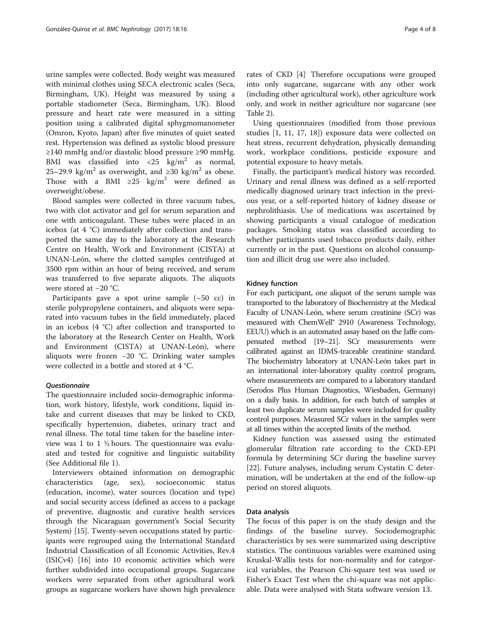urine samples were collected. Body weight was measured with minimal clothes using SECA electronic scales (Seca, Birmingham, UK). Height was measured by using a portable stadiometer (Seca, Birmingham, UK). Blood pressure and heart rate were measured in a sitting position using a calibrated digital sphygmomanometer (Omron, Kyoto, Japan) after five minutes of quiet seated rest. Hypertension was defined as systolic blood pressure ≥140 mmHg and/or diastolic blood pressure ≥90 mmHg. BMI was classified into  $\langle 25 \text{ kg/m}^2 \text{ as normal,}$ 25–29.9 kg/m<sup>2</sup> as overweight, and ≥30 kg/m<sup>2</sup> as obese. Those with a BMI ≥25 kg/m<sup>2</sup> were defined as overweight/obese.

Blood samples were collected in three vacuum tubes, two with clot activator and gel for serum separation and one with anticoagulant. These tubes were placed in an icebox (at 4 °C) immediately after collection and transported the same day to the laboratory at the Research Centre on Health, Work and Environment (CISTA) at UNAN-León, where the clotted samples centrifuged at 3500 rpm within an hour of being received, and serum was transferred to five separate aliquots. The aliquots were stored at −20 °C.

Participants gave a spot urine sample  $(\sim 50 \text{ cc})$  in sterile polypropylene containers, and aliquots were separated into vacuum tubes in the field immediately, placed in an icebox (4 °C) after collection and transported to the laboratory at the Research Center on Health, Work and Environment (CISTA) at UNAN-León), where aliquots were frozen −20 °C. Drinking water samples were collected in a bottle and stored at 4 °C.

### **Questionnaire**

The questionnaire included socio-demographic information, work history, lifestyle, work conditions, liquid intake and current diseases that may be linked to CKD, specifically hypertension, diabetes, urinary tract and renal illness. The total time taken for the baseline interview was 1 to 1 ½ hours. The questionnaire was evaluated and tested for cognitive and linguistic suitability (See Additional file [1\)](#page-6-0).

Interviewers obtained information on demographic characteristics (age, sex), socioeconomic status (education, income), water sources (location and type) and social security access (defined as access to a package of preventive, diagnostic and curative health services through the Nicaraguan government's Social Security System) [[15\]](#page-7-0). Twenty-seven occupations stated by participants were regrouped using the International Standard Industrial Classification of all Economic Activities, Rev.4 (ISICv4) [\[16](#page-7-0)] into 10 economic activities which were further subdivided into occupational groups. Sugarcane workers were separated from other agricultural work groups as sugarcane workers have shown high prevalence

rates of CKD [[4\]](#page-7-0)<sup>.</sup> Therefore occupations were grouped into only sugarcane, sugarcane with any other work (including other agricultural work), other agriculture work only, and work in neither agriculture nor sugarcane (see Table [2\)](#page-5-0).

Using questionnaires (modified from those previous studies [\[1, 11, 17, 18\]](#page-7-0)) exposure data were collected on heat stress, recurrent dehydration, physically demanding work, workplace conditions, pesticide exposure and potential exposure to heavy metals.

Finally, the participant's medical history was recorded. Urinary and renal illness was defined as a self-reported medically diagnosed urinary tract infection in the previous year, or a self-reported history of kidney disease or nephrolithiasis. Use of medications was ascertained by showing participants a visual catalogue of medication packages. Smoking status was classified according to whether participants used tobacco products daily, either currently or in the past. Questions on alcohol consumption and illicit drug use were also included.

### Kidney function

For each participant, one aliquot of the serum sample was transported to the laboratory of Biochemistry at the Medical Faculty of UNAN-León, where serum creatinine (SCr) was measured with ChemWell® 2910 (Awareness Technology, EEUU) which is an automated assay based on the Jaffe compensated method [\[19](#page-7-0)–[21](#page-7-0)]. SCr measurements were calibrated against an IDMS-traceable creatinine standard. The biochemistry laboratory at UNAN-León takes part in an international inter-laboratory quality control program, where measurements are compared to a laboratory standard (Serodos Plus Human Diagnostics, Wiesbaden, Germany) on a daily basis. In addition, for each batch of samples at least two duplicate serum samples were included for quality control purposes. Measured SCr values in the samples were at all times within the accepted limits of the method.

Kidney function was assessed using the estimated glomerular filtration rate according to the CKD-EPI formula by determining SCr during the baseline survey [[22\]](#page-7-0). Future analyses, including serum Cystatin C determination, will be undertaken at the end of the follow-up period on stored aliquots.

### Data analysis

The focus of this paper is on the study design and the findings of the baseline survey. Sociodemographic characteristics by sex were summarized using descriptive statistics. The continuous variables were examined using Kruskal-Wallis tests for non-normality and for categorical variables, the Pearson Chi-square test was used or Fisher's Exact Test when the chi-square was not applicable. Data were analysed with Stata software version 13.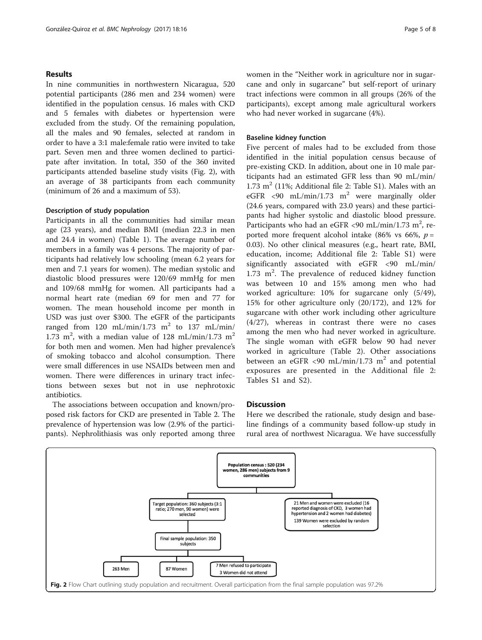### Results

In nine communities in northwestern Nicaragua, 520 potential participants (286 men and 234 women) were identified in the population census. 16 males with CKD and 5 females with diabetes or hypertension were excluded from the study. Of the remaining population, all the males and 90 females, selected at random in order to have a 3:1 male:female ratio were invited to take part. Seven men and three women declined to participate after invitation. In total, 350 of the 360 invited participants attended baseline study visits (Fig. 2), with an average of 38 participants from each community (minimum of 26 and a maximum of 53).

#### Description of study population

Participants in all the communities had similar mean age (23 years), and median BMI (median 22.3 in men and 24.4 in women) (Table [1](#page-5-0)). The average number of members in a family was 4 persons. The majority of participants had relatively low schooling (mean 6.2 years for men and 7.1 years for women). The median systolic and diastolic blood pressures were 120/69 mmHg for men and 109/68 mmHg for women. All participants had a normal heart rate (median 69 for men and 77 for women. The mean household income per month in USD was just over \$300. The eGFR of the participants ranged from 120 mL/min/1.73 m<sup>2</sup> to 137 mL/min/ 1.73 m<sup>2</sup>, with a median value of 128 mL/min/1.73 m<sup>2</sup> for both men and women. Men had higher prevalence's of smoking tobacco and alcohol consumption. There were small differences in use NSAIDs between men and women. There were differences in urinary tract infections between sexes but not in use nephrotoxic antibiotics.

The associations between occupation and known/proposed risk factors for CKD are presented in Table [2](#page-5-0). The prevalence of hypertension was low (2.9% of the participants). Nephrolithiasis was only reported among three women in the "Neither work in agriculture nor in sugarcane and only in sugarcane" but self-report of urinary tract infections were common in all groups (26% of the participants), except among male agricultural workers who had never worked in sugarcane (4%).

#### Baseline kidney function

Five percent of males had to be excluded from those identified in the initial population census because of pre-existing CKD. In addition, about one in 10 male participants had an estimated GFR less than 90 mL/min/ 1.73  $m<sup>2</sup>$  (11%; Additional file [2:](#page-6-0) Table S1). Males with an eGFR <90 mL/min/1.73 m<sup>2</sup> were marginally older (24.6 years, compared with 23.0 years) and these participants had higher systolic and diastolic blood pressure. Participants who had an eGFR <90 mL/min/1.73 m<sup>2</sup>, reported more frequent alcohol intake (86% vs 66%,  $p =$ 0.03). No other clinical measures (e.g., heart rate, BMI, education, income; Additional file [2](#page-6-0): Table S1) were significantly associated with eGFR <90 mL/min/ 1.73 m<sup>2</sup>. The prevalence of reduced kidney function was between 10 and 15% among men who had worked agriculture: 10% for sugarcane only (5/49), 15% for other agriculture only (20/172), and 12% for sugarcane with other work including other agriculture (4/27), whereas in contrast there were no cases among the men who had never worked in agriculture. The single woman with eGFR below 90 had never worked in agriculture (Table [2\)](#page-5-0). Other associations between an eGFR <90 mL/min/1.73  $m^2$  and potential exposures are presented in the Additional file [2](#page-6-0): Tables S1 and S2).

### **Discussion**

Here we described the rationale, study design and baseline findings of a community based follow-up study in rural area of northwest Nicaragua. We have successfully

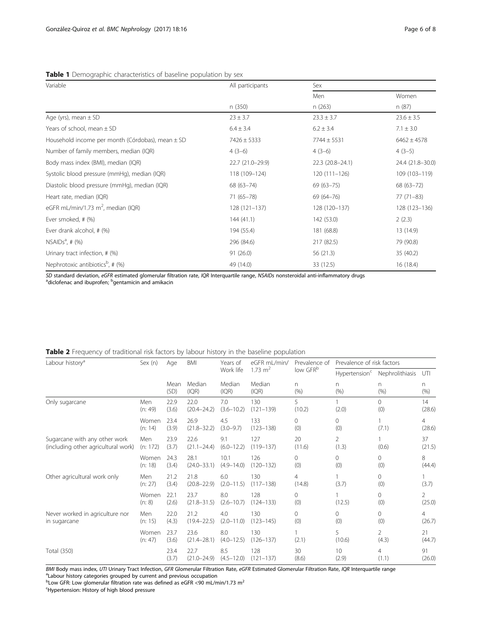| Variable                                             | All participants | Sex              |                  |  |
|------------------------------------------------------|------------------|------------------|------------------|--|
|                                                      |                  | Men              | Women            |  |
|                                                      | n (350)          | n (263)          | n (87)           |  |
| Age (yrs), mean $\pm$ SD                             | $23 \pm 3.7$     | $23.3 \pm 3.7$   | $23.6 \pm 3.5$   |  |
| Years of school, mean $\pm$ SD                       | $6.4 \pm 3.4$    | $6.2 \pm 3.4$    | $7.1 \pm 3.0$    |  |
| Household income per month (Córdobas), mean $\pm$ SD | $7426 \pm 5333$  | $7744 \pm 5531$  | $6462 \pm 4578$  |  |
| Number of family members, median (IQR)               | $4(3-6)$         | $4(3-6)$         | $4(3-5)$         |  |
| Body mass index (BMI), median (IQR)                  | 22.7 (21.0-29.9) | 22.3 (20.8-24.1) | 24.4 (21.8-30.0) |  |
| Systolic blood pressure (mmHg), median (IQR)         | 118 (109-124)    | $120(111 - 126)$ | 109 (103-119)    |  |
| Diastolic blood pressure (mmHg), median (IQR)        | $68(63 - 74)$    | $69(63 - 75)$    | $68(63 - 72)$    |  |
| Heart rate, median (IQR)                             | $71(65 - 78)$    | 69 (64-76)       | $77(71 - 83)$    |  |
| eGFR mL/min/1.73 $m^2$ , median (IQR)                | $128(121-137)$   | 128 (120-137)    | 128 (123-136)    |  |
| Ever smoked, # (%)                                   | 144(41.1)        | 142 (53.0)       | 2(2.3)           |  |
| Ever drank alcohol, # (%)                            | 194 (55.4)       | 181 (68.8)       | 13 (14.9)        |  |
| $NSAIDSa$ , # (%)                                    | 296 (84.6)       | 217 (82.5)       | 79 (90.8)        |  |
| Urinary tract infection, # (%)                       | 91(26.0)         | 56 (21.3)        | 35 (40.2)        |  |
| Nephrotoxic antibiotics <sup>b</sup> , # (%)         | 49 (14.0)        | 33 (12.5)        | 16(18.4)         |  |

## <span id="page-5-0"></span>Table 1 Demographic characteristics of baseline population by sex

SD standard deviation, eGFR estimated glomerular filtration rate, IQR Interquartile range, NSAIDs nonsteroidal anti-inflammatory drugs diclofenac and ibuprofen; <sup>b</sup>gentamicin and amikacin

| <b>Table 2</b> Frequency of traditional risk factors by labour history in the baseline population |  |  |  |  |
|---------------------------------------------------------------------------------------------------|--|--|--|--|
|---------------------------------------------------------------------------------------------------|--|--|--|--|

| Labour history <sup>a</sup>                                          | Sex(n)           | Age<br>Mean<br>(SD)     | <b>BMI</b><br>Median<br>(IQR) | Years of<br>Work life<br>Median<br>(IQR) | eGFR mL/min/<br>$1.73 \text{ m}^2$<br>Median<br>(IQR) | Prevalence of<br>low GFR <sup>b</sup><br>n.<br>(% ) | Prevalence of risk factors              |                               |                          |
|----------------------------------------------------------------------|------------------|-------------------------|-------------------------------|------------------------------------------|-------------------------------------------------------|-----------------------------------------------------|-----------------------------------------|-------------------------------|--------------------------|
|                                                                      |                  |                         |                               |                                          |                                                       |                                                     | Hypertension <sup>c</sup><br>n.<br>(% ) | Nephrolithiasis<br>n.<br>(% ) | UTI<br>n.<br>(% )        |
|                                                                      |                  |                         |                               |                                          |                                                       |                                                     |                                         |                               |                          |
| Women<br>(n: 14)                                                     | 23.4<br>(3.9)    | 26.9<br>$(21.8 - 32.2)$ | 4.5<br>$(3.0 - 9.7)$          | 133<br>$(123 - 138)$                     | $\Omega$<br>(0)                                       | $\Omega$<br>(0)                                     | (7.1)                                   | $\overline{4}$<br>(28.6)      |                          |
| Sugarcane with any other work<br>(including other agricultural work) | Men<br>(n: 172)  | 23.9<br>(3.7)           | 22.6<br>$(21.1 - 24.4)$       | 9.1<br>$(6.0 - 12.2)$                    | 127<br>$(119 - 137)$                                  | 20<br>(11.6)                                        | 2<br>(1.3)                              | (0.6)                         | 37<br>(21.5)             |
|                                                                      | Women<br>(n: 18) | 24.3<br>(3.4)           | 28.1<br>$(24.0 - 33.1)$       | 10.1<br>$(4.9 - 14.0)$                   | 126<br>$(120 - 132)$                                  | 0<br>(0)                                            | $\circ$<br>(0)                          | 0<br>(0)                      | 8<br>(44.4)              |
| Other agricultural work only                                         | Men<br>(n: 27)   | 21.2<br>(3.4)           | 21.8<br>$(20.8 - 22.9)$       | 6.0<br>$(2.0 - 11.5)$                    | 130<br>$(117 - 138)$                                  | $\overline{4}$<br>(14.8)                            | (3.7)                                   | $\Omega$<br>(0)               | (3.7)                    |
|                                                                      | Women<br>(n: 8)  | 22.1<br>(2.6)           | 23.7<br>$(21.8 - 31.5)$       | 8.0<br>$(2.6 - 10.7)$                    | 128<br>$(124 - 133)$                                  | 0<br>(0)                                            | (12.5)                                  | 0<br>(0)                      | 2<br>(25.0)              |
| Never worked in agriculture nor<br>in sugarcane                      | Men<br>(n: 15)   | 22.0<br>(4.3)           | 21.2<br>$(19.4 - 22.5)$       | 4.0<br>$(2.0 - 11.0)$                    | 130<br>$(123 - 145)$                                  | 0<br>(0)                                            | $\circ$<br>(0)                          | 0<br>(0)                      | $\overline{4}$<br>(26.7) |
|                                                                      | Women<br>(n: 47) | 23.7<br>(3.6)           | 23.6<br>$(21.4 - 28.1)$       | 8.0<br>$(4.0 - 12.5)$                    | 130<br>$(126 - 137)$                                  | (2.1)                                               | 5<br>(10.6)                             | $\overline{2}$<br>(4.3)       | 21<br>(44.7)             |
| Total (350)                                                          |                  | 23.4<br>(3.7)           | 22.7<br>$(21.0 - 24.9)$       | 8.5<br>$(4.5 - 12.0)$                    | 128<br>$(121 - 137)$                                  | 30<br>(8.6)                                         | 10<br>(2.9)                             | $\overline{4}$<br>(1.1)       | 91<br>(26.0)             |

BMI Body mass index, UTI Urinary Tract Infection, GFR Glomerular Filtration Rate, eGFR Estimated Glomerular Filtration Rate, IQR Interquartile range

<sup>a</sup>Labour history categories grouped by current and previous occupation<br><sup>b</sup>Low GFR: Low glomerular filtration rate was defined as eGFR <90 mL/min/1.73 m<sup>2</sup>

c Hypertension: History of high blood pressure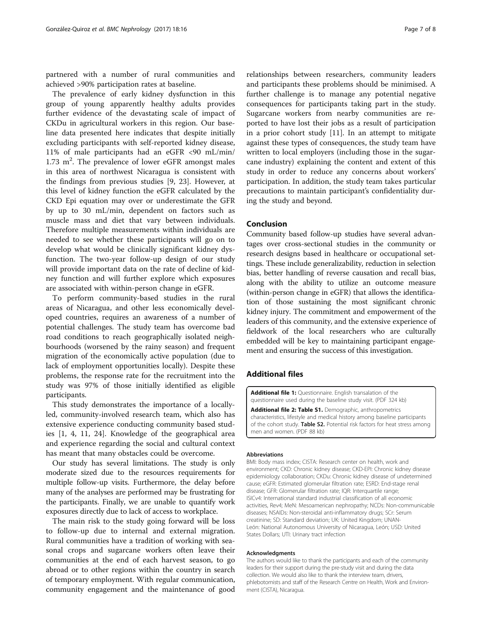<span id="page-6-0"></span>partnered with a number of rural communities and achieved >90% participation rates at baseline.

The prevalence of early kidney dysfunction in this group of young apparently healthy adults provides further evidence of the devastating scale of impact of CKDu in agricultural workers in this region. Our baseline data presented here indicates that despite initially excluding participants with self-reported kidney disease, 11% of male participants had an eGFR <90 mL/min/  $1.73$  m<sup>2</sup>. The prevalence of lower eGFR amongst males in this area of northwest Nicaragua is consistent with the findings from previous studies [[9, 23\]](#page-7-0). However, at this level of kidney function the eGFR calculated by the CKD Epi equation may over or underestimate the GFR by up to 30 mL/min, dependent on factors such as muscle mass and diet that vary between individuals. Therefore multiple measurements within individuals are needed to see whether these participants will go on to develop what would be clinically significant kidney dysfunction. The two-year follow-up design of our study will provide important data on the rate of decline of kidney function and will further explore which exposures are associated with within-person change in eGFR.

To perform community-based studies in the rural areas of Nicaragua, and other less economically developed countries, requires an awareness of a number of potential challenges. The study team has overcome bad road conditions to reach geographically isolated neighbourhoods (worsened by the rainy season) and frequent migration of the economically active population (due to lack of employment opportunities locally). Despite these problems, the response rate for the recruitment into the study was 97% of those initially identified as eligible participants.

This study demonstrates the importance of a locallyled, community-involved research team, which also has extensive experience conducting community based studies [[1](#page-7-0), [4](#page-7-0), [11](#page-7-0), [24](#page-7-0)]. Knowledge of the geographical area and experience regarding the social and cultural context has meant that many obstacles could be overcome.

Our study has several limitations. The study is only moderate sized due to the resources requirements for multiple follow-up visits. Furthermore, the delay before many of the analyses are performed may be frustrating for the participants. Finally, we are unable to quantify work exposures directly due to lack of access to workplace.

The main risk to the study going forward will be loss to follow-up due to internal and external migration. Rural communities have a tradition of working with seasonal crops and sugarcane workers often leave their communities at the end of each harvest season, to go abroad or to other regions within the country in search of temporary employment. With regular communication, community engagement and the maintenance of good relationships between researchers, community leaders and participants these problems should be minimised. A further challenge is to manage any potential negative consequences for participants taking part in the study. Sugarcane workers from nearby communities are reported to have lost their jobs as a result of participation in a prior cohort study [[11](#page-7-0)]. In an attempt to mitigate against these types of consequences, the study team have written to local employers (including those in the sugarcane industry) explaining the content and extent of this study in order to reduce any concerns about workers' participation. In addition, the study team takes particular precautions to maintain participant's confidentiality during the study and beyond.

### Conclusion

Community based follow-up studies have several advantages over cross-sectional studies in the community or research designs based in healthcare or occupational settings. These include generalizability, reduction in selection bias, better handling of reverse causation and recall bias, along with the ability to utilize an outcome measure (within-person change in eGFR) that allows the identification of those sustaining the most significant chronic kidney injury. The commitment and empowerment of the leaders of this community, and the extensive experience of fieldwork of the local researchers who are culturally embedded will be key to maintaining participant engagement and ensuring the success of this investigation.

### Additional files

[Additional file 1:](dx.doi.org/10.1186/s12882-016-0422-4) Questionnaire. English transalation of the questionnaire used during the baseline study visit. (PDF 324 kb)

[Additional file 2: Table S1.](dx.doi.org/10.1186/s12882-016-0422-4) Demographic, anthropometrics characteristics, lifestyle and medical history among baseline participants of the cohort study. Table S2. Potential risk factors for heat stress among men and women. (PDF 88 kb)

#### Abbreviations

BMI: Body mass index; CISTA: Research center on health, work and environment; CKD: Chronic kidney disease; CKD-EPI: Chronic kidney disease epidemiology collaboration; CKDu: Chronic kidney disease of undetermined cause; eGFR: Estimated glomerular filtration rate; ESRD: End-stage renal disease; GFR: Glomerular filtration rate; IQR: Interquartile range; ISICv4: International standard industrial classification of all economic activities, Rev4; MeN: Mesoamerican nephropathy; NCDs: Non-communicable diseases; NSAIDs: Non-steroidal anti-inflammatory drugs; SCr: Serum creatinine; SD: Standard deviation; UK: United Kingdom; UNAN-León: National Autonomous University of Nicaragua, León; USD: United States Dollars; UTI: Urinary tract infection

#### Acknowledgments

The authors would like to thank the participants and each of the community leaders for their support during the pre-study visit and during the data collection. We would also like to thank the interview team, drivers, phlebotomists and staff of the Research Centre on Health, Work and Environment (CISTA), Nicaragua.